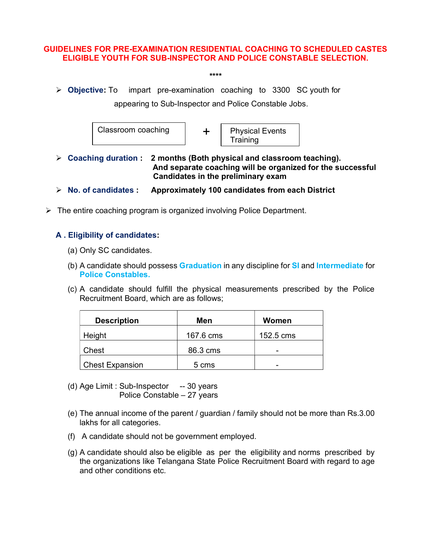## GUIDELINES FOR PRE-EXAMINATION RESIDENTIAL COACHING TO SCHEDULED CASTES ELIGIBLE YOUTH FOR SUB-INSPECTOR AND POLICE CONSTABLE SELECTION.

- \*\*\*\*
- $\triangleright$  Objective: To impart pre-examination coaching to 3300 SC youth for

appearing to Sub-Inspector and Police Constable Jobs.



- $\triangleright$  Coaching duration : 2 months (Both physical and classroom teaching). And separate coaching will be organized for the successful Candidates in the preliminary exam
- $\triangleright$  No. of candidates : Approximately 100 candidates from each District
- $\triangleright$  The entire coaching program is organized involving Police Department.

## A . Eligibility of candidates:

- (a) Only SC candidates.
- (b) A candidate should possess **Graduation** in any discipline for **SI** and Intermediate for Police Constables.
- (c) A candidate should fulfill the physical measurements prescribed by the Police Recruitment Board, which are as follows;

| <b>Description</b>     | Men       | Women     |
|------------------------|-----------|-----------|
| Height                 | 167.6 cms | 152.5 cms |
| Chest                  | 86.3 cms  | -         |
| <b>Chest Expansion</b> | 5 cms     | -         |

- (d) Age Limit : Sub-Inspector -- 30 years Police Constable – 27 years
- (e) The annual income of the parent / guardian / family should not be more than Rs.3.00 lakhs for all categories.
- (f) A candidate should not be government employed.
- (g) A candidate should also be eligible as per the eligibility and norms prescribed by the organizations like Telangana State Police Recruitment Board with regard to age and other conditions etc.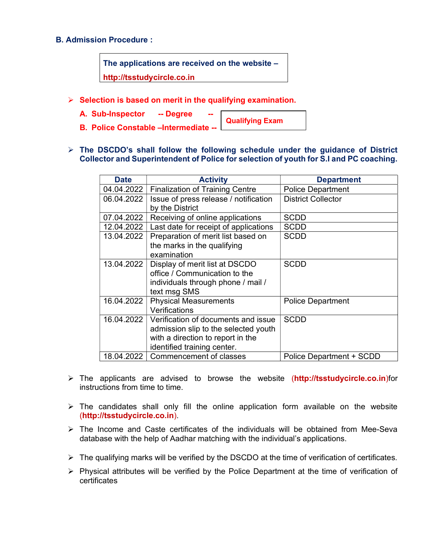## B. Admission Procedure :

The applications are received on the website – http://tsstudycircle.co.in

- $\triangleright$  Selection is based on merit in the qualifying examination.
	- A. Sub-Inspector -- Degree

Qualifying Exam

- **B. Police Constable –Intermediate**
- $\triangleright$  The DSCDO's shall follow the following schedule under the guidance of District Collector and Superintendent of Police for selection of youth for S.I and PC coaching.

| <b>Date</b> | <b>Activity</b>                        | <b>Department</b>         |
|-------------|----------------------------------------|---------------------------|
| 04.04.2022  | <b>Finalization of Training Centre</b> | <b>Police Department</b>  |
| 06.04.2022  | Issue of press release / notification  | <b>District Collector</b> |
|             | by the District                        |                           |
| 07.04.2022  | Receiving of online applications       | <b>SCDD</b>               |
| 12.04.2022  | Last date for receipt of applications  | <b>SCDD</b>               |
| 13.04.2022  | Preparation of merit list based on     | <b>SCDD</b>               |
|             | the marks in the qualifying            |                           |
|             | examination                            |                           |
| 13.04.2022  | Display of merit list at DSCDO         | <b>SCDD</b>               |
|             | office / Communication to the          |                           |
|             | individuals through phone / mail /     |                           |
|             | text msg SMS                           |                           |
| 16.04.2022  | <b>Physical Measurements</b>           | <b>Police Department</b>  |
|             | Verifications                          |                           |
| 16.04.2022  | Verification of documents and issue    | <b>SCDD</b>               |
|             | admission slip to the selected youth   |                           |
|             | with a direction to report in the      |                           |
|             | identified training center.            |                           |
| 18.04.2022  | Commencement of classes                | Police Department + SCDD  |

- > The applicants are advised to browse the website (http://tsstudycircle.co.in)for instructions from time to time.
- $\triangleright$  The candidates shall only fill the online application form available on the website (http://tsstudycircle.co.in).
- $\triangleright$  The Income and Caste certificates of the individuals will be obtained from Mee-Seva database with the help of Aadhar matching with the individual's applications.
- $\triangleright$  The qualifying marks will be verified by the DSCDO at the time of verification of certificates.
- $\triangleright$  Physical attributes will be verified by the Police Department at the time of verification of certificates